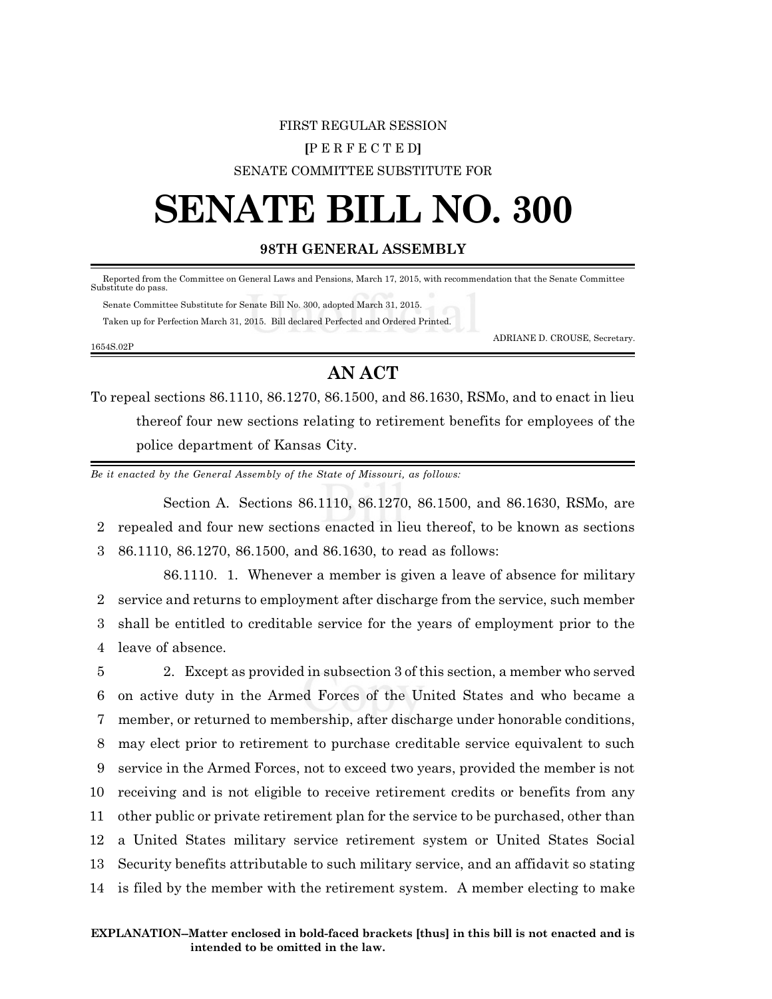### FIRST REGULAR SESSION **[**P E R F E C T E D**]** SENATE COMMITTEE SUBSTITUTE FOR

# **SENATE BILL NO. 300**

#### **98TH GENERAL ASSEMBLY**

 Reported from the Committee on General Laws and Pensions, March 17, 2015, with recommendation that the Senate Committee Substitute do pass.

 Senate Committee Substitute for Senate Bill No. 300, adopted March 31, 2015. Taken up for Perfection March 31, 2015. Bill declared Perfected and Ordered Printed.

1654S.02P

ADRIANE D. CROUSE, Secretary.

### **AN ACT**

To repeal sections 86.1110, 86.1270, 86.1500, and 86.1630, RSMo, and to enact in lieu thereof four new sections relating to retirement benefits for employees of the police department of Kansas City.

*Be it enacted by the General Assembly of the State of Missouri, as follows:*

Section A. Sections 86.1110, 86.1270, 86.1500, and 86.1630, RSMo, are 2 repealed and four new sections enacted in lieu thereof, to be known as sections 3 86.1110, 86.1270, 86.1500, and 86.1630, to read as follows:

86.1110. 1. Whenever a member is given a leave of absence for military service and returns to employment after discharge from the service, such member shall be entitled to creditable service for the years of employment prior to the leave of absence.

 2. Except as provided in subsection 3 of this section, a member who served on active duty in the Armed Forces of the United States and who became a member, or returned to membership, after discharge under honorable conditions, may elect prior to retirement to purchase creditable service equivalent to such service in the Armed Forces, not to exceed two years, provided the member is not receiving and is not eligible to receive retirement credits or benefits from any other public or private retirement plan for the service to be purchased, other than a United States military service retirement system or United States Social Security benefits attributable to such military service, and an affidavit so stating is filed by the member with the retirement system. A member electing to make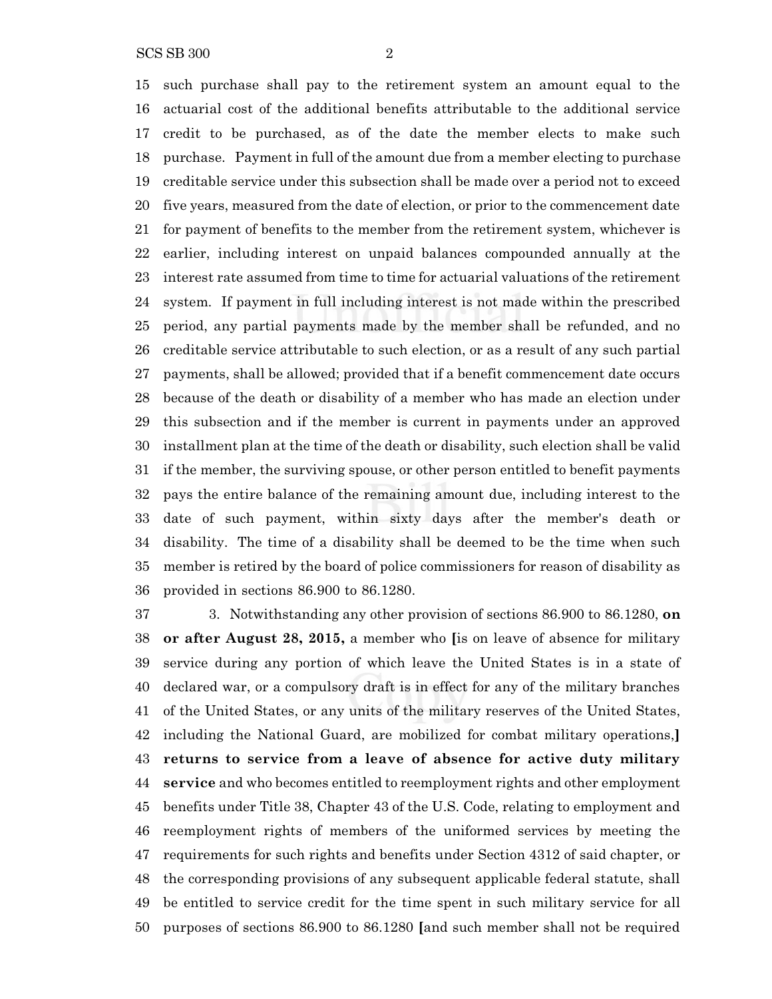SCS SB 300 2

 such purchase shall pay to the retirement system an amount equal to the actuarial cost of the additional benefits attributable to the additional service credit to be purchased, as of the date the member elects to make such purchase. Payment in full of the amount due from a member electing to purchase creditable service under this subsection shall be made over a period not to exceed five years, measured from the date of election, or prior to the commencement date for payment of benefits to the member from the retirement system, whichever is earlier, including interest on unpaid balances compounded annually at the interest rate assumed from time to time for actuarial valuations of the retirement system. If payment in full including interest is not made within the prescribed period, any partial payments made by the member shall be refunded, and no creditable service attributable to such election, or as a result of any such partial payments, shall be allowed; provided that if a benefit commencement date occurs because of the death or disability of a member who has made an election under this subsection and if the member is current in payments under an approved installment plan at the time of the death or disability, such election shall be valid if the member, the surviving spouse, or other person entitled to benefit payments pays the entire balance of the remaining amount due, including interest to the date of such payment, within sixty days after the member's death or disability. The time of a disability shall be deemed to be the time when such member is retired by the board of police commissioners for reason of disability as provided in sections 86.900 to 86.1280.

 3. Notwithstanding any other provision of sections 86.900 to 86.1280, **on or after August 28, 2015,** a member who **[**is on leave of absence for military service during any portion of which leave the United States is in a state of declared war, or a compulsory draft is in effect for any of the military branches of the United States, or any units of the military reserves of the United States, including the National Guard, are mobilized for combat military operations,**] returns to service from a leave of absence for active duty military service** and who becomes entitled to reemployment rights and other employment benefits under Title 38, Chapter 43 of the U.S. Code, relating to employment and reemployment rights of members of the uniformed services by meeting the requirements for such rights and benefits under Section 4312 of said chapter, or the corresponding provisions of any subsequent applicable federal statute, shall be entitled to service credit for the time spent in such military service for all purposes of sections 86.900 to 86.1280 **[**and such member shall not be required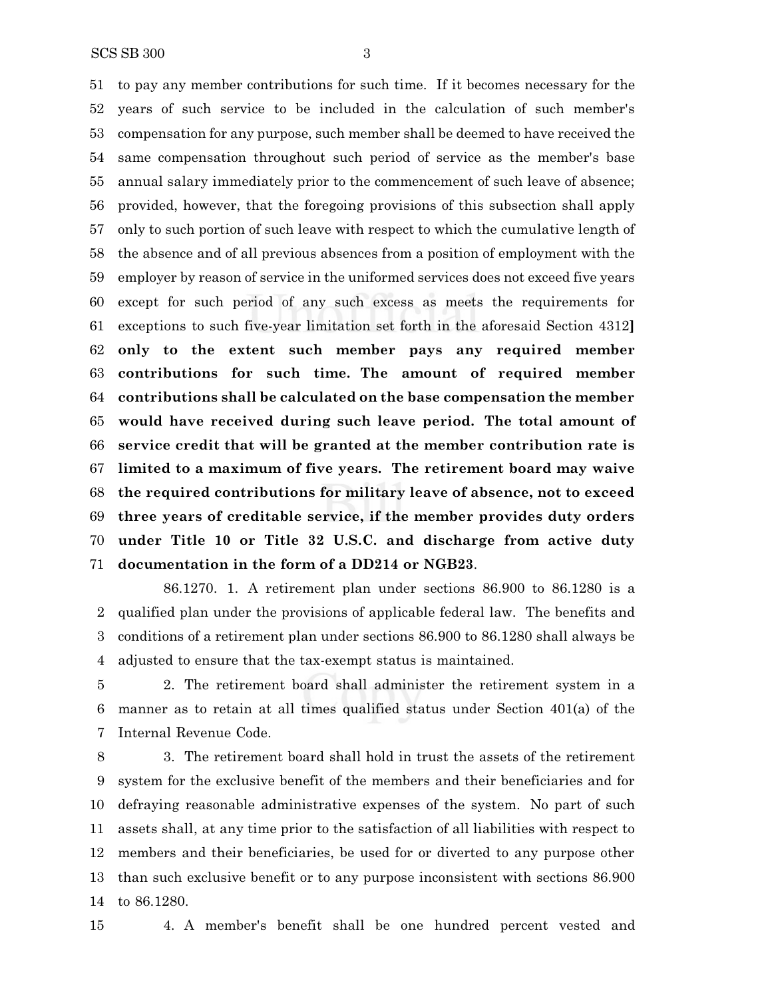to pay any member contributions for such time. If it becomes necessary for the years of such service to be included in the calculation of such member's compensation for any purpose, such member shall be deemed to have received the same compensation throughout such period of service as the member's base annual salary immediately prior to the commencement of such leave of absence; provided, however, that the foregoing provisions of this subsection shall apply only to such portion of such leave with respect to which the cumulative length of the absence and of all previous absences from a position of employment with the employer by reason of service in the uniformed services does not exceed five years except for such period of any such excess as meets the requirements for exceptions to such five-year limitation set forth in the aforesaid Section 4312**] only to the extent such member pays any required member contributions for such time. The amount of required member contributions shall be calculated on the base compensation the member would have received during such leave period. The total amount of service credit that will be granted at the member contribution rate is limited to a maximum of five years. The retirement board may waive the required contributions for military leave of absence, not to exceed three years of creditable service, if the member provides duty orders under Title 10 or Title 32 U.S.C. and discharge from active duty documentation in the form of a DD214 or NGB23**.

86.1270. 1. A retirement plan under sections 86.900 to 86.1280 is a qualified plan under the provisions of applicable federal law. The benefits and conditions of a retirement plan under sections 86.900 to 86.1280 shall always be adjusted to ensure that the tax-exempt status is maintained.

 2. The retirement board shall administer the retirement system in a manner as to retain at all times qualified status under Section 401(a) of the Internal Revenue Code.

 3. The retirement board shall hold in trust the assets of the retirement system for the exclusive benefit of the members and their beneficiaries and for defraying reasonable administrative expenses of the system. No part of such assets shall, at any time prior to the satisfaction of all liabilities with respect to members and their beneficiaries, be used for or diverted to any purpose other than such exclusive benefit or to any purpose inconsistent with sections 86.900 to 86.1280.

4. A member's benefit shall be one hundred percent vested and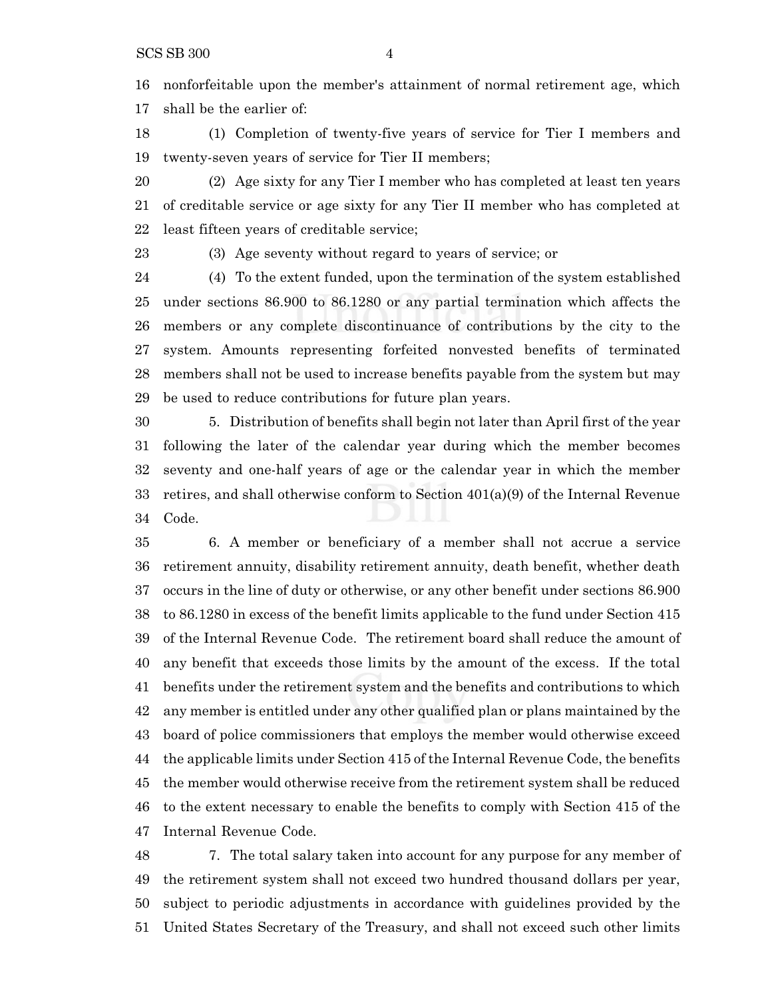nonforfeitable upon the member's attainment of normal retirement age, which shall be the earlier of:

 (1) Completion of twenty-five years of service for Tier I members and twenty-seven years of service for Tier II members;

 (2) Age sixty for any Tier I member who has completed at least ten years of creditable service or age sixty for any Tier II member who has completed at least fifteen years of creditable service;

(3) Age seventy without regard to years of service; or

 (4) To the extent funded, upon the termination of the system established under sections 86.900 to 86.1280 or any partial termination which affects the members or any complete discontinuance of contributions by the city to the system. Amounts representing forfeited nonvested benefits of terminated members shall not be used to increase benefits payable from the system but may be used to reduce contributions for future plan years.

 5. Distribution of benefits shall begin not later than April first of the year following the later of the calendar year during which the member becomes seventy and one-half years of age or the calendar year in which the member retires, and shall otherwise conform to Section 401(a)(9) of the Internal Revenue Code.

 6. A member or beneficiary of a member shall not accrue a service retirement annuity, disability retirement annuity, death benefit, whether death occurs in the line of duty or otherwise, or any other benefit under sections 86.900 to 86.1280 in excess of the benefit limits applicable to the fund under Section 415 of the Internal Revenue Code. The retirement board shall reduce the amount of any benefit that exceeds those limits by the amount of the excess. If the total benefits under the retirement system and the benefits and contributions to which any member is entitled under any other qualified plan or plans maintained by the board of police commissioners that employs the member would otherwise exceed the applicable limits under Section 415 of the Internal Revenue Code, the benefits the member would otherwise receive from the retirement system shall be reduced to the extent necessary to enable the benefits to comply with Section 415 of the Internal Revenue Code.

 7. The total salary taken into account for any purpose for any member of the retirement system shall not exceed two hundred thousand dollars per year, subject to periodic adjustments in accordance with guidelines provided by the United States Secretary of the Treasury, and shall not exceed such other limits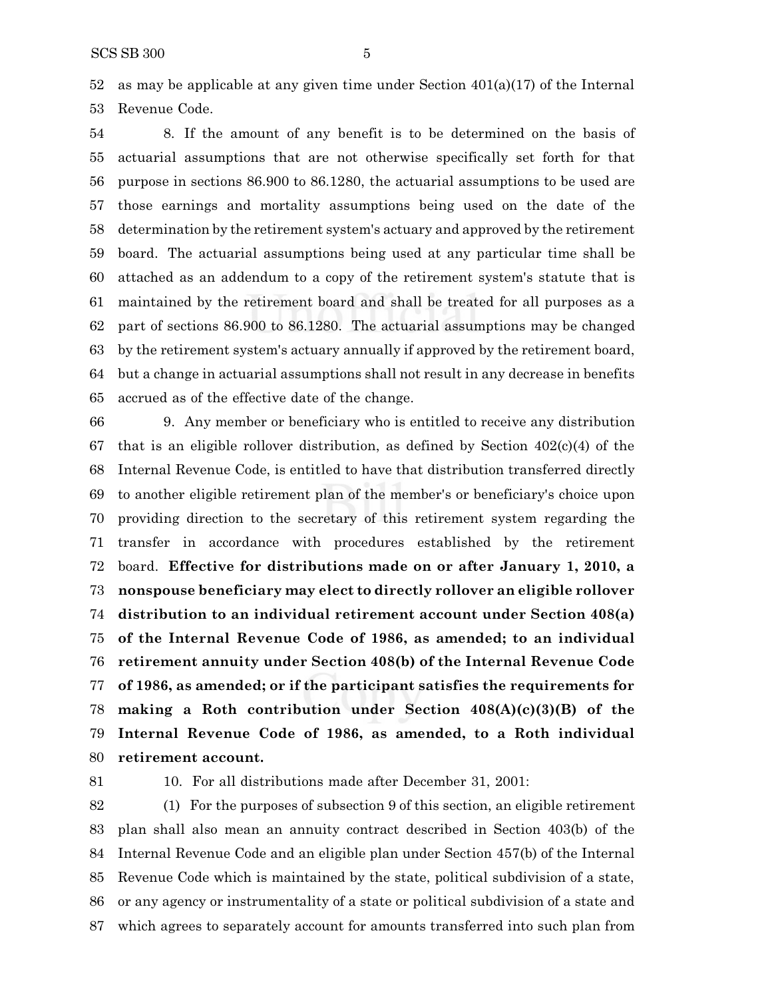52 as may be applicable at any given time under Section  $401(a)(17)$  of the Internal Revenue Code.

 8. If the amount of any benefit is to be determined on the basis of actuarial assumptions that are not otherwise specifically set forth for that purpose in sections 86.900 to 86.1280, the actuarial assumptions to be used are those earnings and mortality assumptions being used on the date of the determination by the retirement system's actuary and approved by the retirement board. The actuarial assumptions being used at any particular time shall be attached as an addendum to a copy of the retirement system's statute that is maintained by the retirement board and shall be treated for all purposes as a part of sections 86.900 to 86.1280. The actuarial assumptions may be changed by the retirement system's actuary annually if approved by the retirement board, but a change in actuarial assumptions shall not result in any decrease in benefits accrued as of the effective date of the change.

 9. Any member or beneficiary who is entitled to receive any distribution 67 that is an eligible rollover distribution, as defined by Section  $402(c)(4)$  of the Internal Revenue Code, is entitled to have that distribution transferred directly to another eligible retirement plan of the member's or beneficiary's choice upon providing direction to the secretary of this retirement system regarding the transfer in accordance with procedures established by the retirement board. **Effective for distributions made on or after January 1, 2010, a nonspouse beneficiary may elect to directly rollover an eligible rollover distribution to an individual retirement account under Section 408(a) of the Internal Revenue Code of 1986, as amended; to an individual retirement annuity under Section 408(b) of the Internal Revenue Code of 1986, as amended; or if the participant satisfies the requirements for making a Roth contribution under Section 408(A)(c)(3)(B) of the Internal Revenue Code of 1986, as amended, to a Roth individual retirement account.**

10. For all distributions made after December 31, 2001:

 (1) For the purposes of subsection 9 of this section, an eligible retirement plan shall also mean an annuity contract described in Section 403(b) of the Internal Revenue Code and an eligible plan under Section 457(b) of the Internal Revenue Code which is maintained by the state, political subdivision of a state, or any agency or instrumentality of a state or political subdivision of a state and which agrees to separately account for amounts transferred into such plan from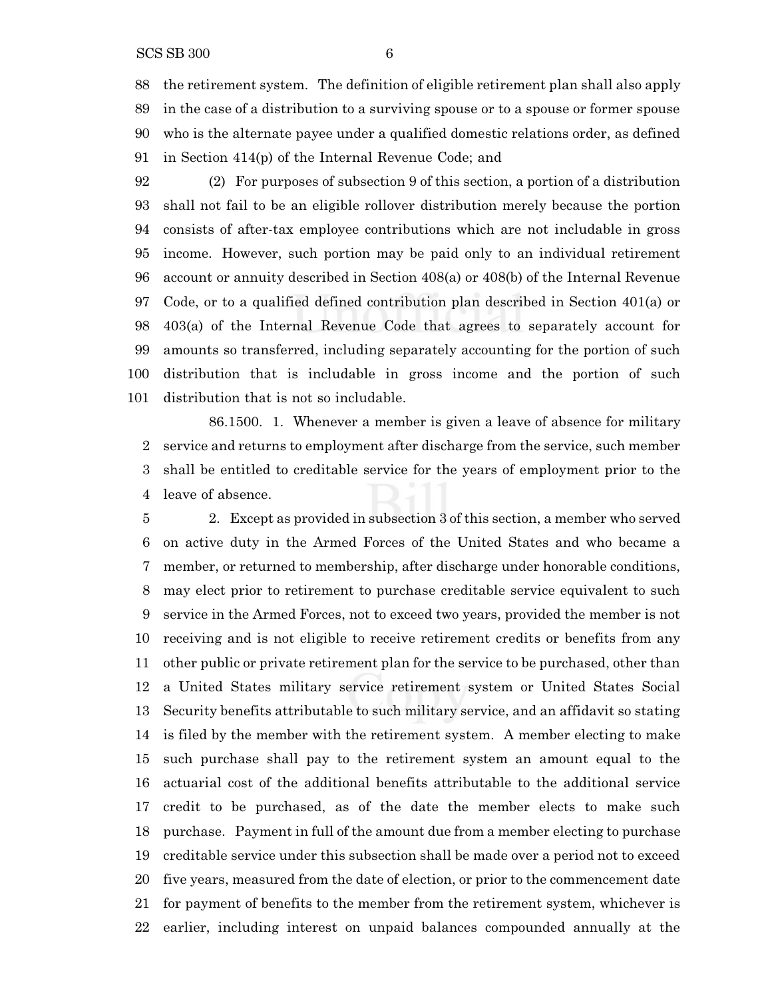the retirement system. The definition of eligible retirement plan shall also apply in the case of a distribution to a surviving spouse or to a spouse or former spouse who is the alternate payee under a qualified domestic relations order, as defined in Section 414(p) of the Internal Revenue Code; and

 (2) For purposes of subsection 9 of this section, a portion of a distribution shall not fail to be an eligible rollover distribution merely because the portion consists of after-tax employee contributions which are not includable in gross income. However, such portion may be paid only to an individual retirement account or annuity described in Section 408(a) or 408(b) of the Internal Revenue Code, or to a qualified defined contribution plan described in Section 401(a) or 403(a) of the Internal Revenue Code that agrees to separately account for amounts so transferred, including separately accounting for the portion of such distribution that is includable in gross income and the portion of such distribution that is not so includable.

86.1500. 1. Whenever a member is given a leave of absence for military service and returns to employment after discharge from the service, such member shall be entitled to creditable service for the years of employment prior to the leave of absence.

 2. Except as provided in subsection 3 of this section, a member who served on active duty in the Armed Forces of the United States and who became a member, or returned to membership, after discharge under honorable conditions, may elect prior to retirement to purchase creditable service equivalent to such service in the Armed Forces, not to exceed two years, provided the member is not receiving and is not eligible to receive retirement credits or benefits from any other public or private retirement plan for the service to be purchased, other than a United States military service retirement system or United States Social Security benefits attributable to such military service, and an affidavit so stating is filed by the member with the retirement system. A member electing to make such purchase shall pay to the retirement system an amount equal to the actuarial cost of the additional benefits attributable to the additional service credit to be purchased, as of the date the member elects to make such purchase. Payment in full of the amount due from a member electing to purchase creditable service under this subsection shall be made over a period not to exceed five years, measured from the date of election, or prior to the commencement date for payment of benefits to the member from the retirement system, whichever is earlier, including interest on unpaid balances compounded annually at the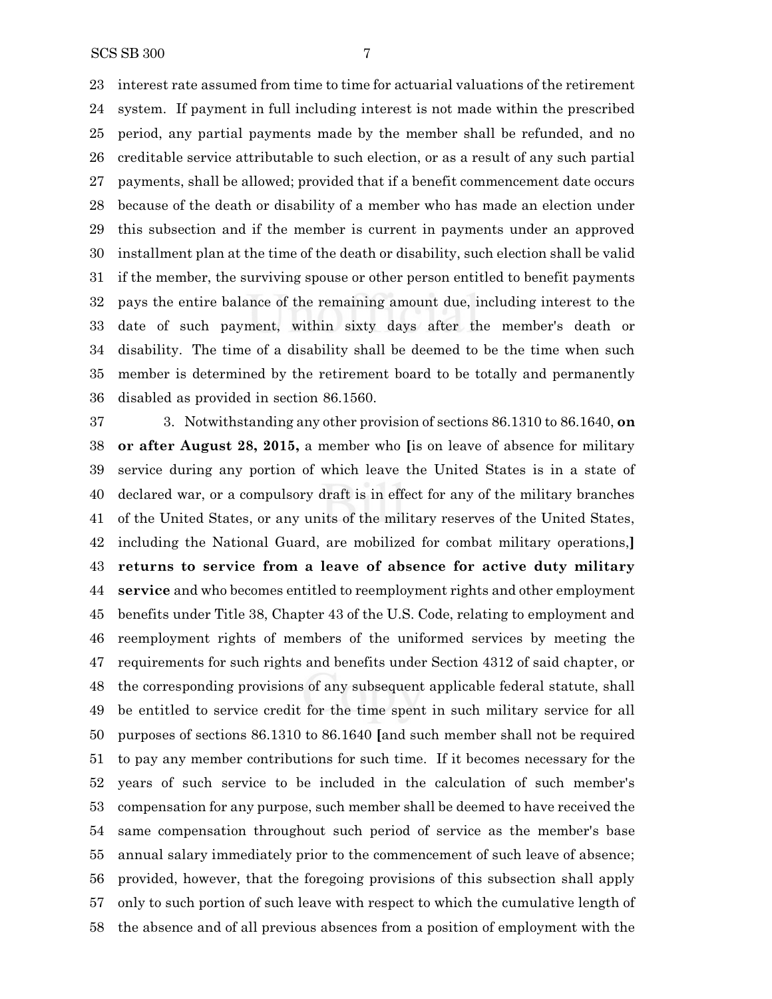interest rate assumed from time to time for actuarial valuations of the retirement system. If payment in full including interest is not made within the prescribed period, any partial payments made by the member shall be refunded, and no creditable service attributable to such election, or as a result of any such partial payments, shall be allowed; provided that if a benefit commencement date occurs because of the death or disability of a member who has made an election under this subsection and if the member is current in payments under an approved installment plan at the time of the death or disability, such election shall be valid if the member, the surviving spouse or other person entitled to benefit payments pays the entire balance of the remaining amount due, including interest to the date of such payment, within sixty days after the member's death or disability. The time of a disability shall be deemed to be the time when such member is determined by the retirement board to be totally and permanently disabled as provided in section 86.1560.

 3. Notwithstanding any other provision of sections 86.1310 to 86.1640, **on or after August 28, 2015,** a member who **[**is on leave of absence for military service during any portion of which leave the United States is in a state of declared war, or a compulsory draft is in effect for any of the military branches of the United States, or any units of the military reserves of the United States, including the National Guard, are mobilized for combat military operations,**] returns to service from a leave of absence for active duty military service** and who becomes entitled to reemployment rights and other employment benefits under Title 38, Chapter 43 of the U.S. Code, relating to employment and reemployment rights of members of the uniformed services by meeting the requirements for such rights and benefits under Section 4312 of said chapter, or the corresponding provisions of any subsequent applicable federal statute, shall be entitled to service credit for the time spent in such military service for all purposes of sections 86.1310 to 86.1640 **[**and such member shall not be required to pay any member contributions for such time. If it becomes necessary for the years of such service to be included in the calculation of such member's compensation for any purpose, such member shall be deemed to have received the same compensation throughout such period of service as the member's base annual salary immediately prior to the commencement of such leave of absence; provided, however, that the foregoing provisions of this subsection shall apply only to such portion of such leave with respect to which the cumulative length of the absence and of all previous absences from a position of employment with the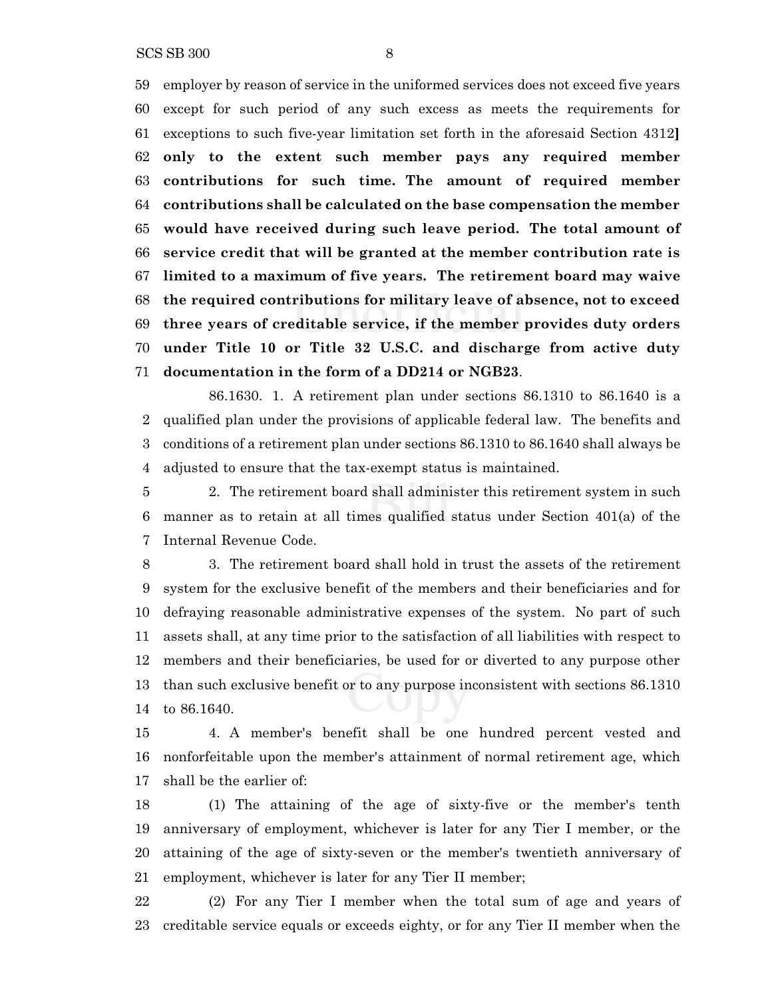SCS SB 300 8

 employer by reason of service in the uniformed services does not exceed five years except for such period of any such excess as meets the requirements for exceptions to such five-year limitation set forth in the aforesaid Section 4312**] only to the extent such member pays any required member contributions for such time. The amount of required member contributions shall be calculated on the base compensation the member would have received during such leave period. The total amount of service credit that will be granted at the member contribution rate is limited to a maximum of five years. The retirement board may waive the required contributions for military leave of absence, not to exceed three years of creditable service, if the member provides duty orders under Title 10 or Title 32 U.S.C. and discharge from active duty documentation in the form of a DD214 or NGB23**.

86.1630. 1. A retirement plan under sections 86.1310 to 86.1640 is a qualified plan under the provisions of applicable federal law. The benefits and conditions of a retirement plan under sections 86.1310 to 86.1640 shall always be adjusted to ensure that the tax-exempt status is maintained.

 2. The retirement board shall administer this retirement system in such manner as to retain at all times qualified status under Section 401(a) of the Internal Revenue Code.

 3. The retirement board shall hold in trust the assets of the retirement system for the exclusive benefit of the members and their beneficiaries and for defraying reasonable administrative expenses of the system. No part of such assets shall, at any time prior to the satisfaction of all liabilities with respect to members and their beneficiaries, be used for or diverted to any purpose other than such exclusive benefit or to any purpose inconsistent with sections 86.1310 to 86.1640.

 4. A member's benefit shall be one hundred percent vested and nonforfeitable upon the member's attainment of normal retirement age, which shall be the earlier of:

 (1) The attaining of the age of sixty-five or the member's tenth anniversary of employment, whichever is later for any Tier I member, or the attaining of the age of sixty-seven or the member's twentieth anniversary of employment, whichever is later for any Tier II member;

 (2) For any Tier I member when the total sum of age and years of creditable service equals or exceeds eighty, or for any Tier II member when the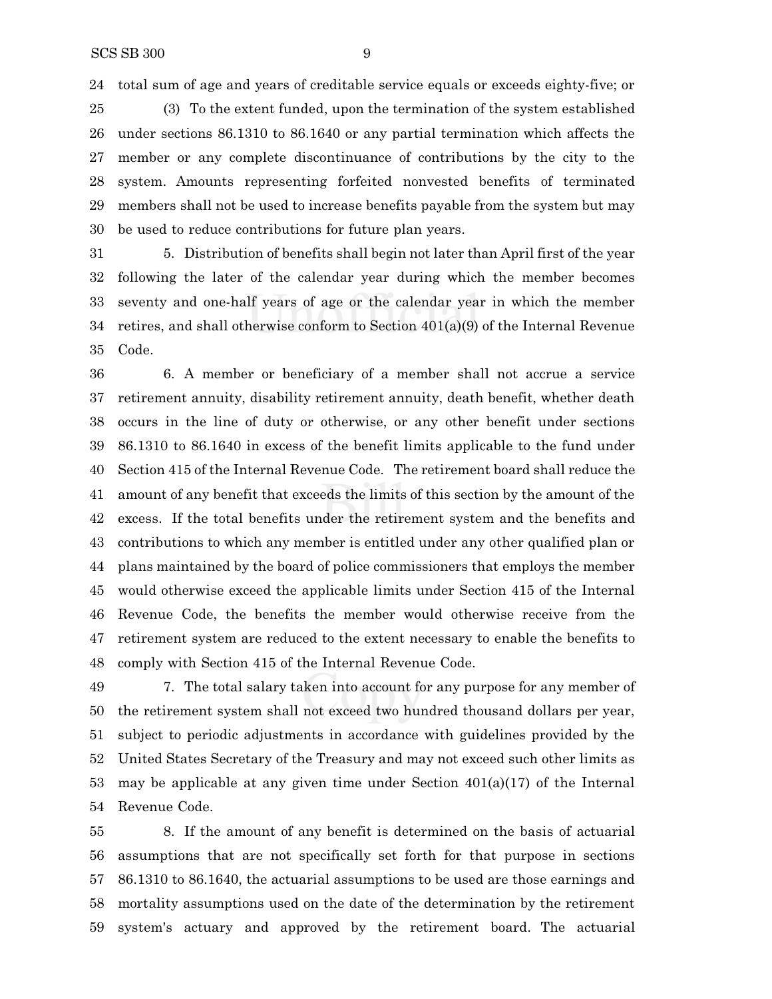total sum of age and years of creditable service equals or exceeds eighty-five; or

 (3) To the extent funded, upon the termination of the system established under sections 86.1310 to 86.1640 or any partial termination which affects the member or any complete discontinuance of contributions by the city to the system. Amounts representing forfeited nonvested benefits of terminated members shall not be used to increase benefits payable from the system but may be used to reduce contributions for future plan years.

 5. Distribution of benefits shall begin not later than April first of the year following the later of the calendar year during which the member becomes seventy and one-half years of age or the calendar year in which the member retires, and shall otherwise conform to Section 401(a)(9) of the Internal Revenue Code.

 6. A member or beneficiary of a member shall not accrue a service retirement annuity, disability retirement annuity, death benefit, whether death occurs in the line of duty or otherwise, or any other benefit under sections 86.1310 to 86.1640 in excess of the benefit limits applicable to the fund under Section 415 of the Internal Revenue Code. The retirement board shall reduce the amount of any benefit that exceeds the limits of this section by the amount of the excess. If the total benefits under the retirement system and the benefits and contributions to which any member is entitled under any other qualified plan or plans maintained by the board of police commissioners that employs the member would otherwise exceed the applicable limits under Section 415 of the Internal Revenue Code, the benefits the member would otherwise receive from the retirement system are reduced to the extent necessary to enable the benefits to comply with Section 415 of the Internal Revenue Code.

 7. The total salary taken into account for any purpose for any member of the retirement system shall not exceed two hundred thousand dollars per year, subject to periodic adjustments in accordance with guidelines provided by the United States Secretary of the Treasury and may not exceed such other limits as may be applicable at any given time under Section 401(a)(17) of the Internal Revenue Code.

 8. If the amount of any benefit is determined on the basis of actuarial assumptions that are not specifically set forth for that purpose in sections 86.1310 to 86.1640, the actuarial assumptions to be used are those earnings and mortality assumptions used on the date of the determination by the retirement system's actuary and approved by the retirement board. The actuarial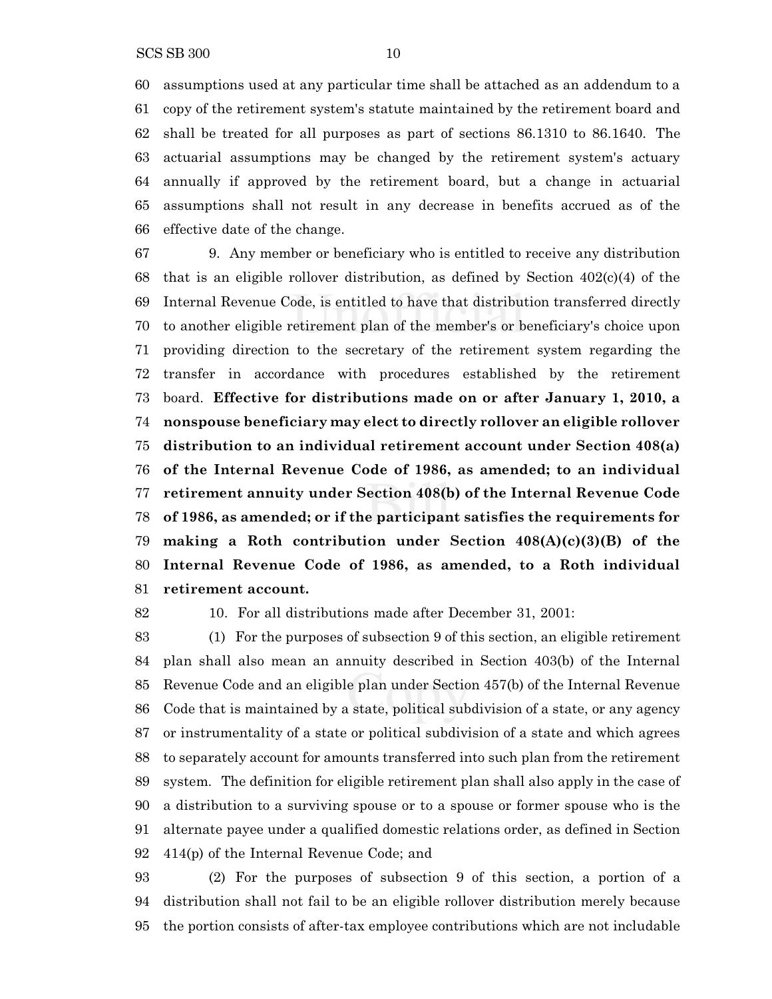assumptions used at any particular time shall be attached as an addendum to a copy of the retirement system's statute maintained by the retirement board and shall be treated for all purposes as part of sections 86.1310 to 86.1640. The actuarial assumptions may be changed by the retirement system's actuary annually if approved by the retirement board, but a change in actuarial assumptions shall not result in any decrease in benefits accrued as of the effective date of the change.

 9. Any member or beneficiary who is entitled to receive any distribution 68 that is an eligible rollover distribution, as defined by Section  $402(c)(4)$  of the Internal Revenue Code, is entitled to have that distribution transferred directly to another eligible retirement plan of the member's or beneficiary's choice upon providing direction to the secretary of the retirement system regarding the transfer in accordance with procedures established by the retirement board. **Effective for distributions made on or after January 1, 2010, a nonspouse beneficiary may elect to directly rollover an eligible rollover distribution to an individual retirement account under Section 408(a) of the Internal Revenue Code of 1986, as amended; to an individual retirement annuity under Section 408(b) of the Internal Revenue Code of 1986, as amended; or if the participant satisfies the requirements for making a Roth contribution under Section 408(A)(c)(3)(B) of the Internal Revenue Code of 1986, as amended, to a Roth individual retirement account.**

10. For all distributions made after December 31, 2001:

 (1) For the purposes of subsection 9 of this section, an eligible retirement plan shall also mean an annuity described in Section 403(b) of the Internal Revenue Code and an eligible plan under Section 457(b) of the Internal Revenue Code that is maintained by a state, political subdivision of a state, or any agency or instrumentality of a state or political subdivision of a state and which agrees to separately account for amounts transferred into such plan from the retirement system. The definition for eligible retirement plan shall also apply in the case of a distribution to a surviving spouse or to a spouse or former spouse who is the alternate payee under a qualified domestic relations order, as defined in Section 414(p) of the Internal Revenue Code; and

 (2) For the purposes of subsection 9 of this section, a portion of a distribution shall not fail to be an eligible rollover distribution merely because the portion consists of after-tax employee contributions which are not includable